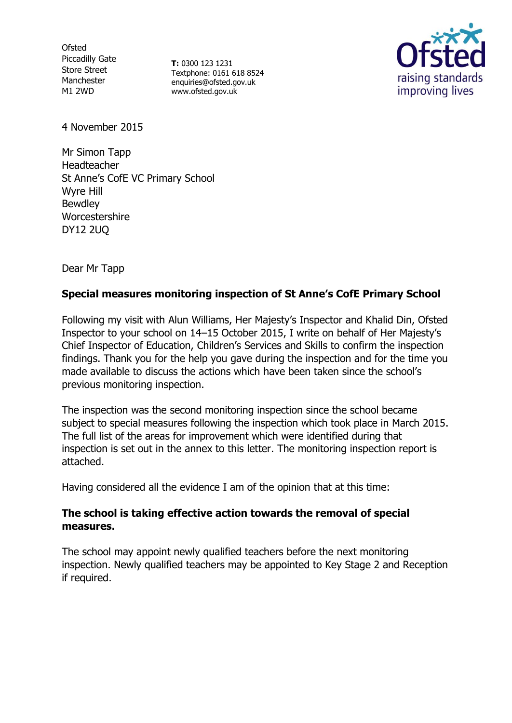**Ofsted** Piccadilly Gate Store Street Manchester M1 2WD

**T:** 0300 123 1231 Textphone: 0161 618 8524 enquiries@ofsted.gov.uk www.ofsted.gov.uk



4 November 2015

Mr Simon Tapp Headteacher St Anne's CofE VC Primary School Wyre Hill Bewdley Worcestershire DY12 2UQ

Dear Mr Tapp

## **Special measures monitoring inspection of St Anne's CofE Primary School**

Following my visit with Alun Williams, Her Majesty's Inspector and Khalid Din, Ofsted Inspector to your school on 14–15 October 2015, I write on behalf of Her Majesty's Chief Inspector of Education, Children's Services and Skills to confirm the inspection findings. Thank you for the help you gave during the inspection and for the time you made available to discuss the actions which have been taken since the school's previous monitoring inspection.

The inspection was the second monitoring inspection since the school became subject to special measures following the inspection which took place in March 2015. The full list of the areas for improvement which were identified during that inspection is set out in the annex to this letter. The monitoring inspection report is attached.

Having considered all the evidence I am of the opinion that at this time:

#### **The school is taking effective action towards the removal of special measures.**

The school may appoint newly qualified teachers before the next monitoring inspection. Newly qualified teachers may be appointed to Key Stage 2 and Reception if required.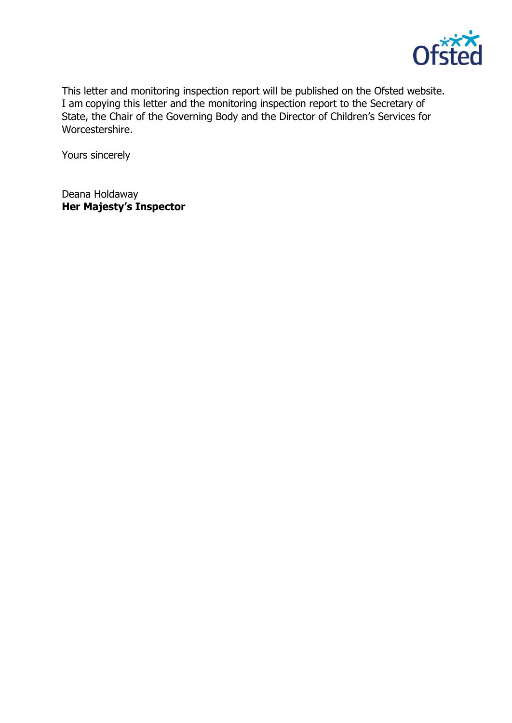

This letter and monitoring inspection report will be published on the Ofsted website. I am copying this letter and the monitoring inspection report to the Secretary of State, the Chair of the Governing Body and the Director of Children's Services for Worcestershire.

Yours sincerely

Deana Holdaway **Her Majesty's Inspector**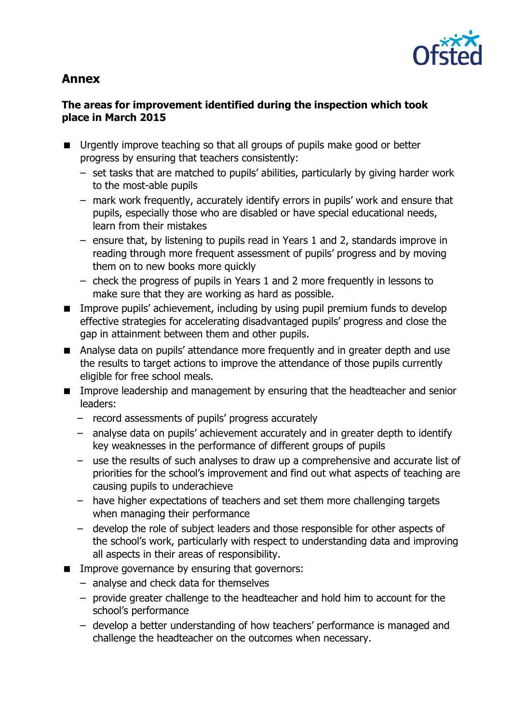

# **Annex**

# **The areas for improvement identified during the inspection which took place in March 2015**

- **Urgently improve teaching so that all groups of pupils make good or better** progress by ensuring that teachers consistently:
	- set tasks that are matched to pupils' abilities, particularly by giving harder work to the most-able pupils
	- mark work frequently, accurately identify errors in pupils' work and ensure that pupils, especially those who are disabled or have special educational needs, learn from their mistakes
	- ensure that, by listening to pupils read in Years 1 and 2, standards improve in reading through more frequent assessment of pupils' progress and by moving them on to new books more quickly
	- check the progress of pupils in Years 1 and 2 more frequently in lessons to make sure that they are working as hard as possible.
- **IMPROVE PUPILS' achievement, including by using pupil premium funds to develop** effective strategies for accelerating disadvantaged pupils' progress and close the gap in attainment between them and other pupils.
- Analyse data on pupils' attendance more frequently and in greater depth and use the results to target actions to improve the attendance of those pupils currently eligible for free school meals.
- **IMPROVE LEADERSHIP and management by ensuring that the headteacher and senior** leaders:
	- record assessments of pupils' progress accurately
	- analyse data on pupils' achievement accurately and in greater depth to identify key weaknesses in the performance of different groups of pupils
	- use the results of such analyses to draw up a comprehensive and accurate list of priorities for the school's improvement and find out what aspects of teaching are causing pupils to underachieve
	- have higher expectations of teachers and set them more challenging targets when managing their performance
	- develop the role of subject leaders and those responsible for other aspects of the school's work, particularly with respect to understanding data and improving all aspects in their areas of responsibility.
- **IMPROVE GOVERTHERE** by ensuring that governors:
	- analyse and check data for themselves
	- provide greater challenge to the headteacher and hold him to account for the school's performance
	- develop a better understanding of how teachers' performance is managed and challenge the headteacher on the outcomes when necessary.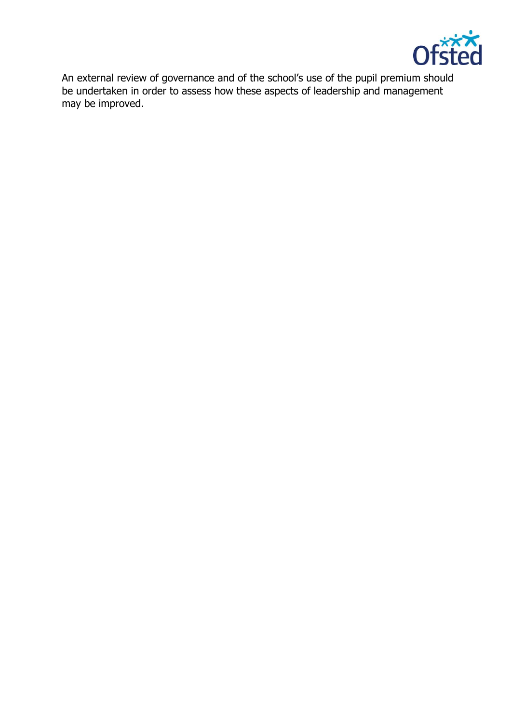

An external review of governance and of the school's use of the pupil premium should be undertaken in order to assess how these aspects of leadership and management may be improved.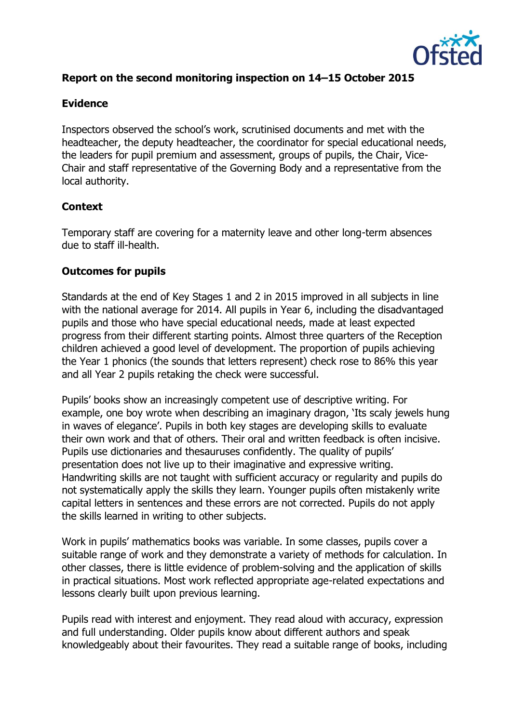

## **Report on the second monitoring inspection on 14–15 October 2015**

#### **Evidence**

Inspectors observed the school's work, scrutinised documents and met with the headteacher, the deputy headteacher, the coordinator for special educational needs, the leaders for pupil premium and assessment, groups of pupils, the Chair, Vice-Chair and staff representative of the Governing Body and a representative from the local authority.

#### **Context**

Temporary staff are covering for a maternity leave and other long-term absences due to staff ill-health.

#### **Outcomes for pupils**

Standards at the end of Key Stages 1 and 2 in 2015 improved in all subjects in line with the national average for 2014. All pupils in Year 6, including the disadvantaged pupils and those who have special educational needs, made at least expected progress from their different starting points. Almost three quarters of the Reception children achieved a good level of development. The proportion of pupils achieving the Year 1 phonics (the sounds that letters represent) check rose to 86% this year and all Year 2 pupils retaking the check were successful.

Pupils' books show an increasingly competent use of descriptive writing. For example, one boy wrote when describing an imaginary dragon, 'Its scaly jewels hung in waves of elegance'. Pupils in both key stages are developing skills to evaluate their own work and that of others. Their oral and written feedback is often incisive. Pupils use dictionaries and thesauruses confidently. The quality of pupils' presentation does not live up to their imaginative and expressive writing. Handwriting skills are not taught with sufficient accuracy or regularity and pupils do not systematically apply the skills they learn. Younger pupils often mistakenly write capital letters in sentences and these errors are not corrected. Pupils do not apply the skills learned in writing to other subjects.

Work in pupils' mathematics books was variable. In some classes, pupils cover a suitable range of work and they demonstrate a variety of methods for calculation. In other classes, there is little evidence of problem-solving and the application of skills in practical situations. Most work reflected appropriate age-related expectations and lessons clearly built upon previous learning.

Pupils read with interest and enjoyment. They read aloud with accuracy, expression and full understanding. Older pupils know about different authors and speak knowledgeably about their favourites. They read a suitable range of books, including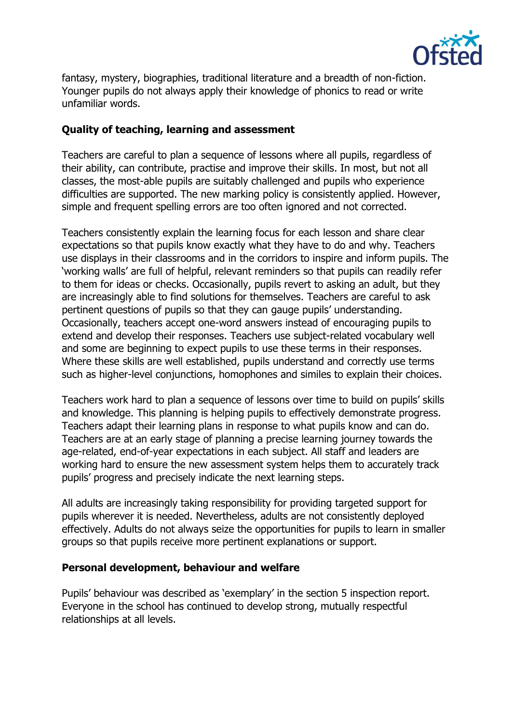

fantasy, mystery, biographies, traditional literature and a breadth of non-fiction. Younger pupils do not always apply their knowledge of phonics to read or write unfamiliar words.

### **Quality of teaching, learning and assessment**

Teachers are careful to plan a sequence of lessons where all pupils, regardless of their ability, can contribute, practise and improve their skills. In most, but not all classes, the most-able pupils are suitably challenged and pupils who experience difficulties are supported. The new marking policy is consistently applied. However, simple and frequent spelling errors are too often ignored and not corrected.

Teachers consistently explain the learning focus for each lesson and share clear expectations so that pupils know exactly what they have to do and why. Teachers use displays in their classrooms and in the corridors to inspire and inform pupils. The 'working walls' are full of helpful, relevant reminders so that pupils can readily refer to them for ideas or checks. Occasionally, pupils revert to asking an adult, but they are increasingly able to find solutions for themselves. Teachers are careful to ask pertinent questions of pupils so that they can gauge pupils' understanding. Occasionally, teachers accept one-word answers instead of encouraging pupils to extend and develop their responses. Teachers use subject-related vocabulary well and some are beginning to expect pupils to use these terms in their responses. Where these skills are well established, pupils understand and correctly use terms such as higher-level conjunctions, homophones and similes to explain their choices.

Teachers work hard to plan a sequence of lessons over time to build on pupils' skills and knowledge. This planning is helping pupils to effectively demonstrate progress. Teachers adapt their learning plans in response to what pupils know and can do. Teachers are at an early stage of planning a precise learning journey towards the age-related, end-of-year expectations in each subject. All staff and leaders are working hard to ensure the new assessment system helps them to accurately track pupils' progress and precisely indicate the next learning steps.

All adults are increasingly taking responsibility for providing targeted support for pupils wherever it is needed. Nevertheless, adults are not consistently deployed effectively. Adults do not always seize the opportunities for pupils to learn in smaller groups so that pupils receive more pertinent explanations or support.

#### **Personal development, behaviour and welfare**

Pupils' behaviour was described as 'exemplary' in the section 5 inspection report. Everyone in the school has continued to develop strong, mutually respectful relationships at all levels.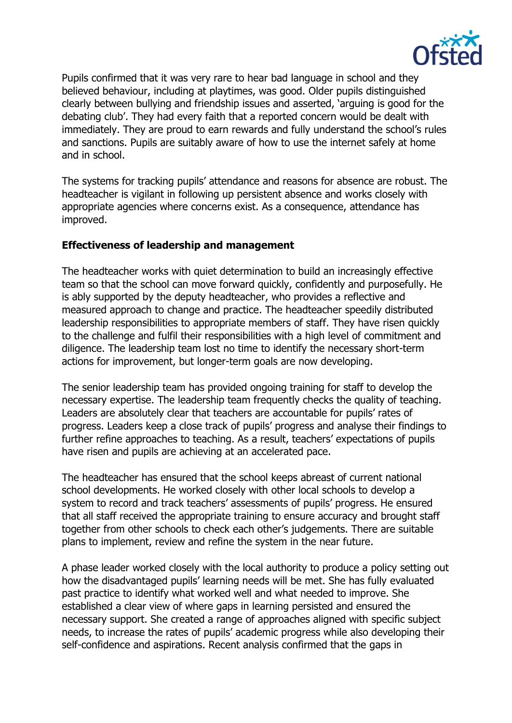

Pupils confirmed that it was very rare to hear bad language in school and they believed behaviour, including at playtimes, was good. Older pupils distinguished clearly between bullying and friendship issues and asserted, 'arguing is good for the debating club'. They had every faith that a reported concern would be dealt with immediately. They are proud to earn rewards and fully understand the school's rules and sanctions. Pupils are suitably aware of how to use the internet safely at home and in school.

The systems for tracking pupils' attendance and reasons for absence are robust. The headteacher is vigilant in following up persistent absence and works closely with appropriate agencies where concerns exist. As a consequence, attendance has improved.

#### **Effectiveness of leadership and management**

The headteacher works with quiet determination to build an increasingly effective team so that the school can move forward quickly, confidently and purposefully. He is ably supported by the deputy headteacher, who provides a reflective and measured approach to change and practice. The headteacher speedily distributed leadership responsibilities to appropriate members of staff. They have risen quickly to the challenge and fulfil their responsibilities with a high level of commitment and diligence. The leadership team lost no time to identify the necessary short-term actions for improvement, but longer-term goals are now developing.

The senior leadership team has provided ongoing training for staff to develop the necessary expertise. The leadership team frequently checks the quality of teaching. Leaders are absolutely clear that teachers are accountable for pupils' rates of progress. Leaders keep a close track of pupils' progress and analyse their findings to further refine approaches to teaching. As a result, teachers' expectations of pupils have risen and pupils are achieving at an accelerated pace.

The headteacher has ensured that the school keeps abreast of current national school developments. He worked closely with other local schools to develop a system to record and track teachers' assessments of pupils' progress. He ensured that all staff received the appropriate training to ensure accuracy and brought staff together from other schools to check each other's judgements. There are suitable plans to implement, review and refine the system in the near future.

A phase leader worked closely with the local authority to produce a policy setting out how the disadvantaged pupils' learning needs will be met. She has fully evaluated past practice to identify what worked well and what needed to improve. She established a clear view of where gaps in learning persisted and ensured the necessary support. She created a range of approaches aligned with specific subject needs, to increase the rates of pupils' academic progress while also developing their self-confidence and aspirations. Recent analysis confirmed that the gaps in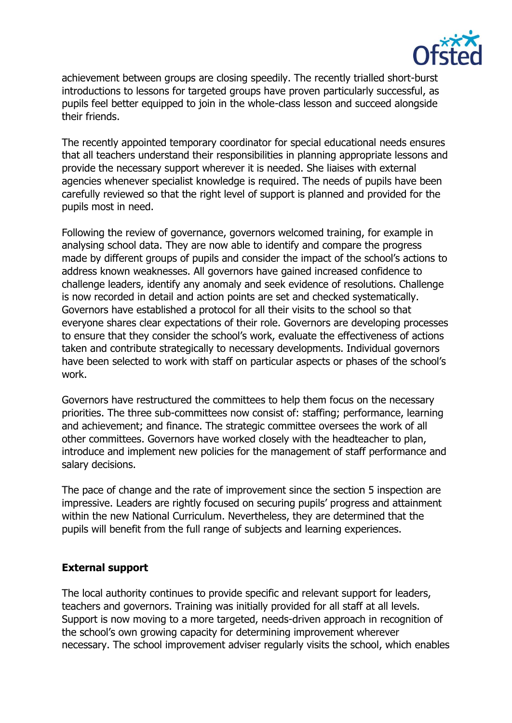

achievement between groups are closing speedily. The recently trialled short-burst introductions to lessons for targeted groups have proven particularly successful, as pupils feel better equipped to join in the whole-class lesson and succeed alongside their friends.

The recently appointed temporary coordinator for special educational needs ensures that all teachers understand their responsibilities in planning appropriate lessons and provide the necessary support wherever it is needed. She liaises with external agencies whenever specialist knowledge is required. The needs of pupils have been carefully reviewed so that the right level of support is planned and provided for the pupils most in need.

Following the review of governance, governors welcomed training, for example in analysing school data. They are now able to identify and compare the progress made by different groups of pupils and consider the impact of the school's actions to address known weaknesses. All governors have gained increased confidence to challenge leaders, identify any anomaly and seek evidence of resolutions. Challenge is now recorded in detail and action points are set and checked systematically. Governors have established a protocol for all their visits to the school so that everyone shares clear expectations of their role. Governors are developing processes to ensure that they consider the school's work, evaluate the effectiveness of actions taken and contribute strategically to necessary developments. Individual governors have been selected to work with staff on particular aspects or phases of the school's work.

Governors have restructured the committees to help them focus on the necessary priorities. The three sub-committees now consist of: staffing; performance, learning and achievement; and finance. The strategic committee oversees the work of all other committees. Governors have worked closely with the headteacher to plan, introduce and implement new policies for the management of staff performance and salary decisions.

The pace of change and the rate of improvement since the section 5 inspection are impressive. Leaders are rightly focused on securing pupils' progress and attainment within the new National Curriculum. Nevertheless, they are determined that the pupils will benefit from the full range of subjects and learning experiences.

# **External support**

The local authority continues to provide specific and relevant support for leaders, teachers and governors. Training was initially provided for all staff at all levels. Support is now moving to a more targeted, needs-driven approach in recognition of the school's own growing capacity for determining improvement wherever necessary. The school improvement adviser regularly visits the school, which enables